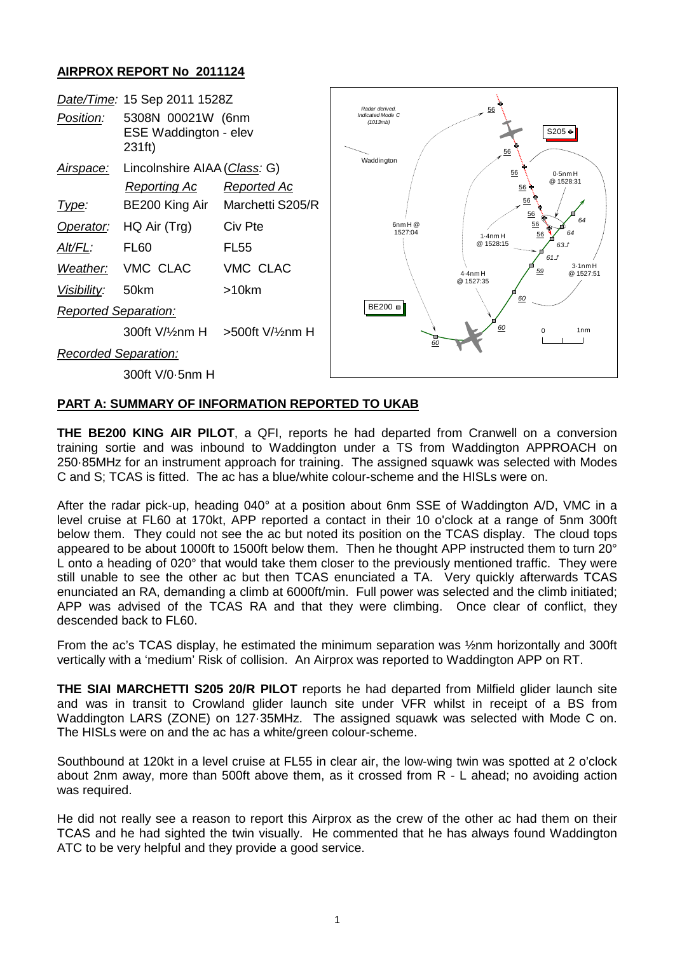## **AIRPROX REPORT No 2011124**

| Position:                   | Date/Time: 15 Sep 2011 1528Z<br>5308N 00021W (6nm<br>ESE Waddington - elev<br>231ft) |                  | Radar derived.<br>56<br>Indicated Mode C<br>(1013mb)<br>S205 +<br>56<br>Waddington<br>56<br>$0.5$ nm $H$ |
|-----------------------------|--------------------------------------------------------------------------------------|------------------|----------------------------------------------------------------------------------------------------------|
| Airspace:                   | Lincolnshire AIAA (Class: G)                                                         |                  |                                                                                                          |
|                             | Reporting Ac                                                                         | Reported Ac      | @ 1528:31<br>56                                                                                          |
| Type:                       | BE200 King Air                                                                       | Marchetti S205/R | 56<br>56                                                                                                 |
| Operator:                   | HQ Air (Trg)                                                                         | Civ Pte          | 64<br>56<br>$6$ nm $H@$<br>1527:04<br>64<br>56                                                           |
| Alt/FL:                     | FL <sub>60</sub>                                                                     | <b>FL55</b>      | $1.4$ nm $H$<br>@ 1528:15<br>63J<br>61J                                                                  |
| Weather:                    | VMC CLAC                                                                             | VMC CLAC         | 3.1 <sub>nm</sub> H<br>59<br>$4.4$ nm $H$<br>@ 1527:51<br>@ 1527:35<br>60                                |
| Visibility:                 | 50km                                                                                 | >10km            |                                                                                                          |
| <b>Reported Separation:</b> |                                                                                      |                  | BE200 =                                                                                                  |
|                             | 300ft V/1/2nm H > 500ft V/1/2nm H                                                    |                  | 60<br>1 <sub>nm</sub>                                                                                    |
| <b>Recorded Separation:</b> |                                                                                      |                  | 60                                                                                                       |
|                             | 300ft V/0-5nm H                                                                      |                  |                                                                                                          |

## **PART A: SUMMARY OF INFORMATION REPORTED TO UKAB**

**THE BE200 KING AIR PILOT**, a QFI, reports he had departed from Cranwell on a conversion training sortie and was inbound to Waddington under a TS from Waddington APPROACH on 250·85MHz for an instrument approach for training. The assigned squawk was selected with Modes C and S; TCAS is fitted. The ac has a blue/white colour-scheme and the HISLs were on.

After the radar pick-up, heading 040° at a position about 6nm SSE of Waddington A/D, VMC in a level cruise at FL60 at 170kt, APP reported a contact in their 10 o'clock at a range of 5nm 300ft below them. They could not see the ac but noted its position on the TCAS display. The cloud tops appeared to be about 1000ft to 1500ft below them. Then he thought APP instructed them to turn 20° L onto a heading of 020° that would take them closer to the previously mentioned traffic. They were still unable to see the other ac but then TCAS enunciated a TA. Very quickly afterwards TCAS enunciated an RA, demanding a climb at 6000ft/min. Full power was selected and the climb initiated; APP was advised of the TCAS RA and that they were climbing. Once clear of conflict, they descended back to FL60.

From the ac's TCAS display, he estimated the minimum separation was ½nm horizontally and 300ft vertically with a 'medium' Risk of collision. An Airprox was reported to Waddington APP on RT.

**THE SIAI MARCHETTI S205 20/R PILOT** reports he had departed from Milfield glider launch site and was in transit to Crowland glider launch site under VFR whilst in receipt of a BS from Waddington LARS (ZONE) on 127·35MHz. The assigned squawk was selected with Mode C on. The HISLs were on and the ac has a white/green colour-scheme.

Southbound at 120kt in a level cruise at FL55 in clear air, the low-wing twin was spotted at 2 o'clock about 2nm away, more than 500ft above them, as it crossed from R - L ahead; no avoiding action was required.

He did not really see a reason to report this Airprox as the crew of the other ac had them on their TCAS and he had sighted the twin visually. He commented that he has always found Waddington ATC to be very helpful and they provide a good service.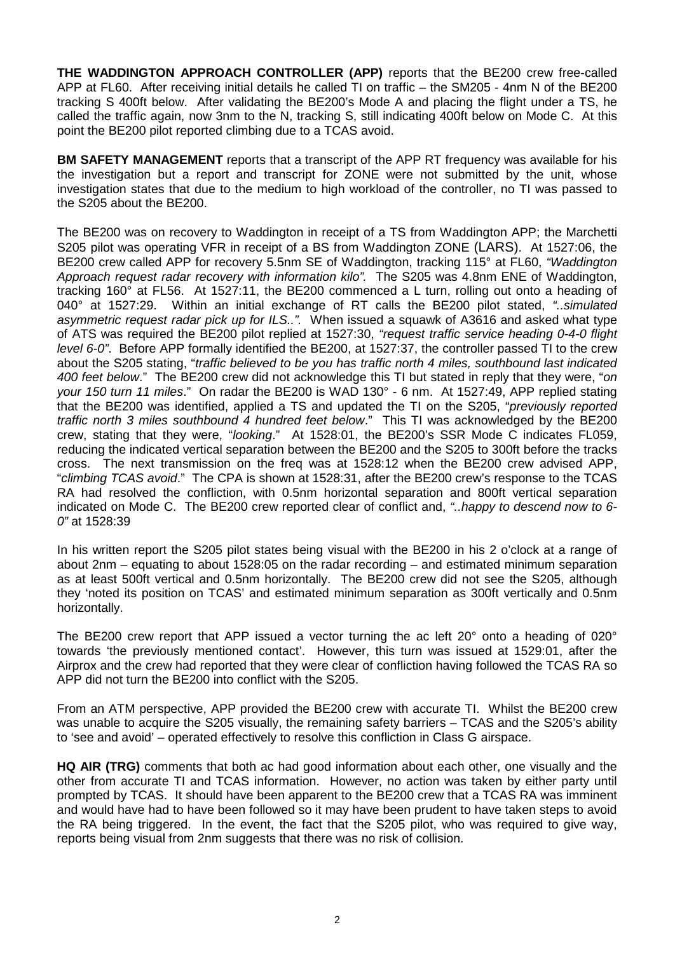**THE WADDINGTON APPROACH CONTROLLER (APP)** reports that the BE200 crew free-called APP at FL60. After receiving initial details he called TI on traffic – the SM205 - 4nm N of the BE200 tracking S 400ft below. After validating the BE200's Mode A and placing the flight under a TS, he called the traffic again, now 3nm to the N, tracking S, still indicating 400ft below on Mode C. At this point the BE200 pilot reported climbing due to a TCAS avoid.

**BM SAFETY MANAGEMENT** reports that a transcript of the APP RT frequency was available for his the investigation but a report and transcript for ZONE were not submitted by the unit, whose investigation states that due to the medium to high workload of the controller, no TI was passed to the S205 about the BE200.

The BE200 was on recovery to Waddington in receipt of a TS from Waddington APP; the Marchetti S205 pilot was operating VFR in receipt of a BS from Waddington ZONE (LARS). At 1527:06, the BE200 crew called APP for recovery 5.5nm SE of Waddington, tracking 115° at FL60, *"Waddington Approach request radar recovery with information kilo".* The S205 was 4.8nm ENE of Waddington, tracking 160° at FL56. At 1527:11, the BE200 commenced a L turn, rolling out onto a heading of 040° at 1527:29. Within an initial exchange of RT calls the BE200 pilot stated, *"..simulated asymmetric request radar pick up for ILS..".* When issued a squawk of A3616 and asked what type of ATS was required the BE200 pilot replied at 1527:30, *"request traffic service heading 0-4-0 flight level 6-0"*. Before APP formally identified the BE200, at 1527:37, the controller passed TI to the crew about the S205 stating, "*traffic believed to be you has traffic north 4 miles, southbound last indicated 400 feet below*." The BE200 crew did not acknowledge this TI but stated in reply that they were, "*on your 150 turn 11 miles*." On radar the BE200 is WAD 130° - 6 nm. At 1527:49, APP replied stating that the BE200 was identified, applied a TS and updated the TI on the S205, "*previously reported traffic north 3 miles southbound 4 hundred feet below*." This TI was acknowledged by the BE200 crew, stating that they were, "*looking*." At 1528:01, the BE200's SSR Mode C indicates FL059, reducing the indicated vertical separation between the BE200 and the S205 to 300ft before the tracks cross. The next transmission on the freq was at 1528:12 when the BE200 crew advised APP, "*climbing TCAS avoid*." The CPA is shown at 1528:31, after the BE200 crew's response to the TCAS RA had resolved the confliction, with 0.5nm horizontal separation and 800ft vertical separation indicated on Mode C. The BE200 crew reported clear of conflict and, *"..happy to descend now to 6- 0"* at 1528:39

In his written report the S205 pilot states being visual with the BE200 in his 2 o'clock at a range of about 2nm – equating to about 1528:05 on the radar recording – and estimated minimum separation as at least 500ft vertical and 0.5nm horizontally. The BE200 crew did not see the S205, although they 'noted its position on TCAS' and estimated minimum separation as 300ft vertically and 0.5nm horizontally.

The BE200 crew report that APP issued a vector turning the ac left 20° onto a heading of 020° towards 'the previously mentioned contact'. However, this turn was issued at 1529:01, after the Airprox and the crew had reported that they were clear of confliction having followed the TCAS RA so APP did not turn the BE200 into conflict with the S205.

From an ATM perspective, APP provided the BE200 crew with accurate TI. Whilst the BE200 crew was unable to acquire the S205 visually, the remaining safety barriers – TCAS and the S205's ability to 'see and avoid' – operated effectively to resolve this confliction in Class G airspace.

**HQ AIR (TRG)** comments that both ac had good information about each other, one visually and the other from accurate TI and TCAS information. However, no action was taken by either party until prompted by TCAS. It should have been apparent to the BE200 crew that a TCAS RA was imminent and would have had to have been followed so it may have been prudent to have taken steps to avoid the RA being triggered. In the event, the fact that the S205 pilot, who was required to give way, reports being visual from 2nm suggests that there was no risk of collision.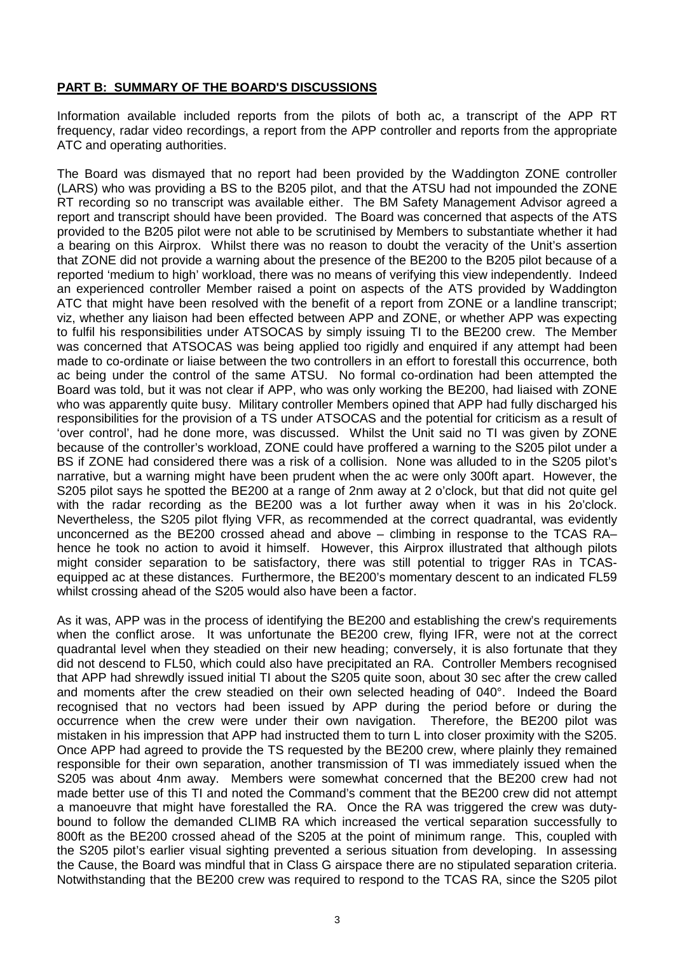## **PART B: SUMMARY OF THE BOARD'S DISCUSSIONS**

Information available included reports from the pilots of both ac, a transcript of the APP RT frequency, radar video recordings, a report from the APP controller and reports from the appropriate ATC and operating authorities.

The Board was dismayed that no report had been provided by the Waddington ZONE controller (LARS) who was providing a BS to the B205 pilot, and that the ATSU had not impounded the ZONE RT recording so no transcript was available either. The BM Safety Management Advisor agreed a report and transcript should have been provided. The Board was concerned that aspects of the ATS provided to the B205 pilot were not able to be scrutinised by Members to substantiate whether it had a bearing on this Airprox. Whilst there was no reason to doubt the veracity of the Unit's assertion that ZONE did not provide a warning about the presence of the BE200 to the B205 pilot because of a reported 'medium to high' workload, there was no means of verifying this view independently. Indeed an experienced controller Member raised a point on aspects of the ATS provided by Waddington ATC that might have been resolved with the benefit of a report from ZONE or a landline transcript; viz, whether any liaison had been effected between APP and ZONE, or whether APP was expecting to fulfil his responsibilities under ATSOCAS by simply issuing TI to the BE200 crew. The Member was concerned that ATSOCAS was being applied too rigidly and enquired if any attempt had been made to co-ordinate or liaise between the two controllers in an effort to forestall this occurrence, both ac being under the control of the same ATSU. No formal co-ordination had been attempted the Board was told, but it was not clear if APP, who was only working the BE200, had liaised with ZONE who was apparently quite busy. Military controller Members opined that APP had fully discharged his responsibilities for the provision of a TS under ATSOCAS and the potential for criticism as a result of 'over control', had he done more, was discussed. Whilst the Unit said no TI was given by ZONE because of the controller's workload, ZONE could have proffered a warning to the S205 pilot under a BS if ZONE had considered there was a risk of a collision. None was alluded to in the S205 pilot's narrative, but a warning might have been prudent when the ac were only 300ft apart. However, the S205 pilot says he spotted the BE200 at a range of 2nm away at 2 o'clock, but that did not quite gel with the radar recording as the BE200 was a lot further away when it was in his 2o'clock. Nevertheless, the S205 pilot flying VFR, as recommended at the correct quadrantal, was evidently unconcerned as the BE200 crossed ahead and above – climbing in response to the TCAS RA– hence he took no action to avoid it himself. However, this Airprox illustrated that although pilots might consider separation to be satisfactory, there was still potential to trigger RAs in TCASequipped ac at these distances. Furthermore, the BE200's momentary descent to an indicated FL59 whilst crossing ahead of the S205 would also have been a factor.

As it was, APP was in the process of identifying the BE200 and establishing the crew's requirements when the conflict arose. It was unfortunate the BE200 crew, flying IFR, were not at the correct quadrantal level when they steadied on their new heading; conversely, it is also fortunate that they did not descend to FL50, which could also have precipitated an RA. Controller Members recognised that APP had shrewdly issued initial TI about the S205 quite soon, about 30 sec after the crew called and moments after the crew steadied on their own selected heading of 040°. Indeed the Board recognised that no vectors had been issued by APP during the period before or during the occurrence when the crew were under their own navigation. Therefore, the BE200 pilot was mistaken in his impression that APP had instructed them to turn L into closer proximity with the S205. Once APP had agreed to provide the TS requested by the BE200 crew, where plainly they remained responsible for their own separation, another transmission of TI was immediately issued when the S205 was about 4nm away. Members were somewhat concerned that the BE200 crew had not made better use of this TI and noted the Command's comment that the BE200 crew did not attempt a manoeuvre that might have forestalled the RA. Once the RA was triggered the crew was dutybound to follow the demanded CLIMB RA which increased the vertical separation successfully to 800ft as the BE200 crossed ahead of the S205 at the point of minimum range. This, coupled with the S205 pilot's earlier visual sighting prevented a serious situation from developing. In assessing the Cause, the Board was mindful that in Class G airspace there are no stipulated separation criteria. Notwithstanding that the BE200 crew was required to respond to the TCAS RA, since the S205 pilot